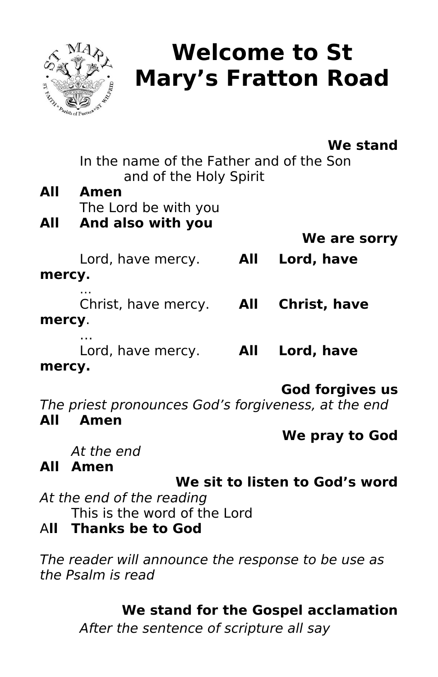

# **Welcome to St Mary's Fratton Road**

# **We stand**

In the name of the Father and of the Son and of the Holy Spirit

| All | Amen                 |  |
|-----|----------------------|--|
|     | The Lord be with you |  |
| All | And also with you    |  |
|     |                      |  |

**We are sorry** 

Lord, have mercy. **All Lord, have mercy.**

… Christ, have mercy. **All Christ, have mercy**.

… Lord, have mercy. **All Lord, have mercy.**

# **God forgives us**

The priest pronounces God's forgiveness, at the end **All Amen**

**We pray to God**

At the end

# **All Amen**

# **We sit to listen to God's word**

At the end of the reading This is the word of the Lord

# A**ll Thanks be to God**

The reader will announce the response to be use as the Psalm is read

# **We stand for the Gospel acclamation**

After the sentence of scripture all say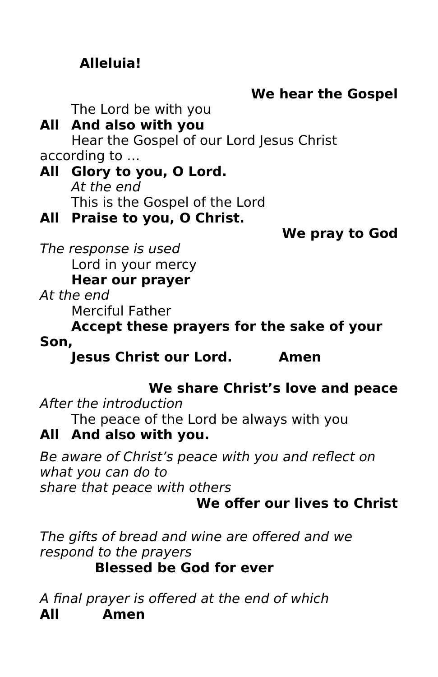# **Alleluia!**

# **We hear the Gospel**

The Lord be with you

# **All And also with you**

Hear the Gospel of our Lord Jesus Christ according to …

### **All Glory to you, O Lord.**  At the end This is the Gospel of the Lord

## **All Praise to you, O Christ.**

## **We pray to God**

The response is used Lord in your mercy **Hear our prayer**

At the end

Merciful Father

#### **Accept these prayers for the sake of your Son,**

**Jesus Christ our Lord. Amen**

# **We share Christ's love and peace**

After the introduction The peace of the Lord be always with you

# **All And also with you.**

Be aware of Christ's peace with you and reflect on what you can do to

share that peace with others

# **We offer our lives to Christ**

The gifts of bread and wine are offered and we respond to the prayers **Blessed be God for ever**

A final prayer is offered at the end of which **All Amen**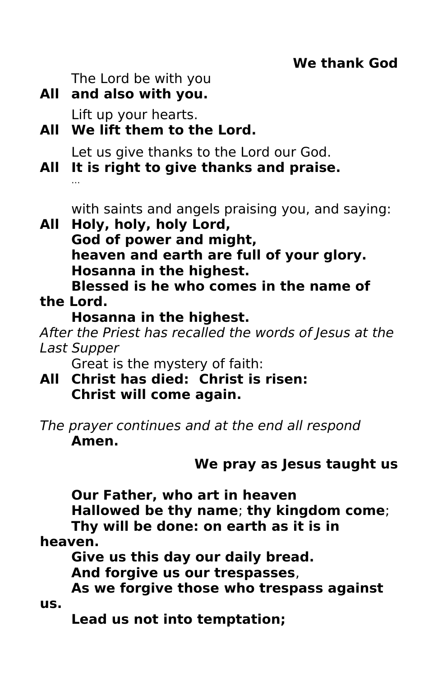The Lord be with you

**All and also with you.**

Lift up your hearts.

**All We lift them to the Lord.**

Let us give thanks to the Lord our God.

**All It is right to give thanks and praise.** …

with saints and angels praising you, and saying:

**All Holy, holy, holy Lord, God of power and might, heaven and earth are full of your glory. Hosanna in the highest. Blessed is he who comes in the name of** 

**the Lord.**

# **Hosanna in the highest.**

After the Priest has recalled the words of Jesus at the Last Supper

Great is the mystery of faith:

- **All Christ has died: Christ is risen: Christ will come again.**
- The prayer continues and at the end all respond **Amen.**

# **We pray as Jesus taught us**

**Our Father, who art in heaven**

**Hallowed be thy name**; **thy kingdom come**;

**Thy will be done: on earth as it is in** 

**heaven.**

**Give us this day our daily bread.**

**And forgive us our trespasses**,

**As we forgive those who trespass against us.**

**Lead us not into temptation;**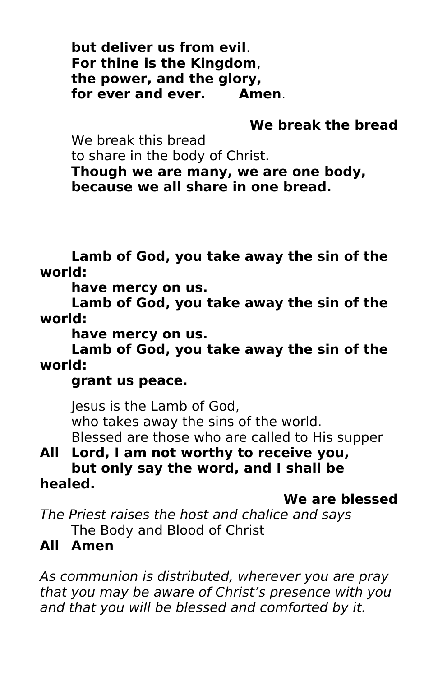**but deliver us from evil**. **For thine is the Kingdom**, **the power, and the glory, for ever and ever. Amen**.

# **We break the bread**

We break this bread

to share in the body of Christ. **Though we are many, we are one body, because we all share in one bread.**

**Lamb of God, you take away the sin of the world:** 

**have mercy on us.**

**Lamb of God, you take away the sin of the world:** 

**have mercy on us.** 

**Lamb of God, you take away the sin of the world:** 

**grant us peace.**

Jesus is the Lamb of God, who takes away the sins of the world. Blessed are those who are called to His supper

#### **All Lord, I am not worthy to receive you, but only say the word, and I shall be healed.**

**We are blessed** 

The Priest raises the host and chalice and says The Body and Blood of Christ

# **All Amen**

As communion is distributed, wherever you are pray that you may be aware of Christ's presence with you and that you will be blessed and comforted by it.